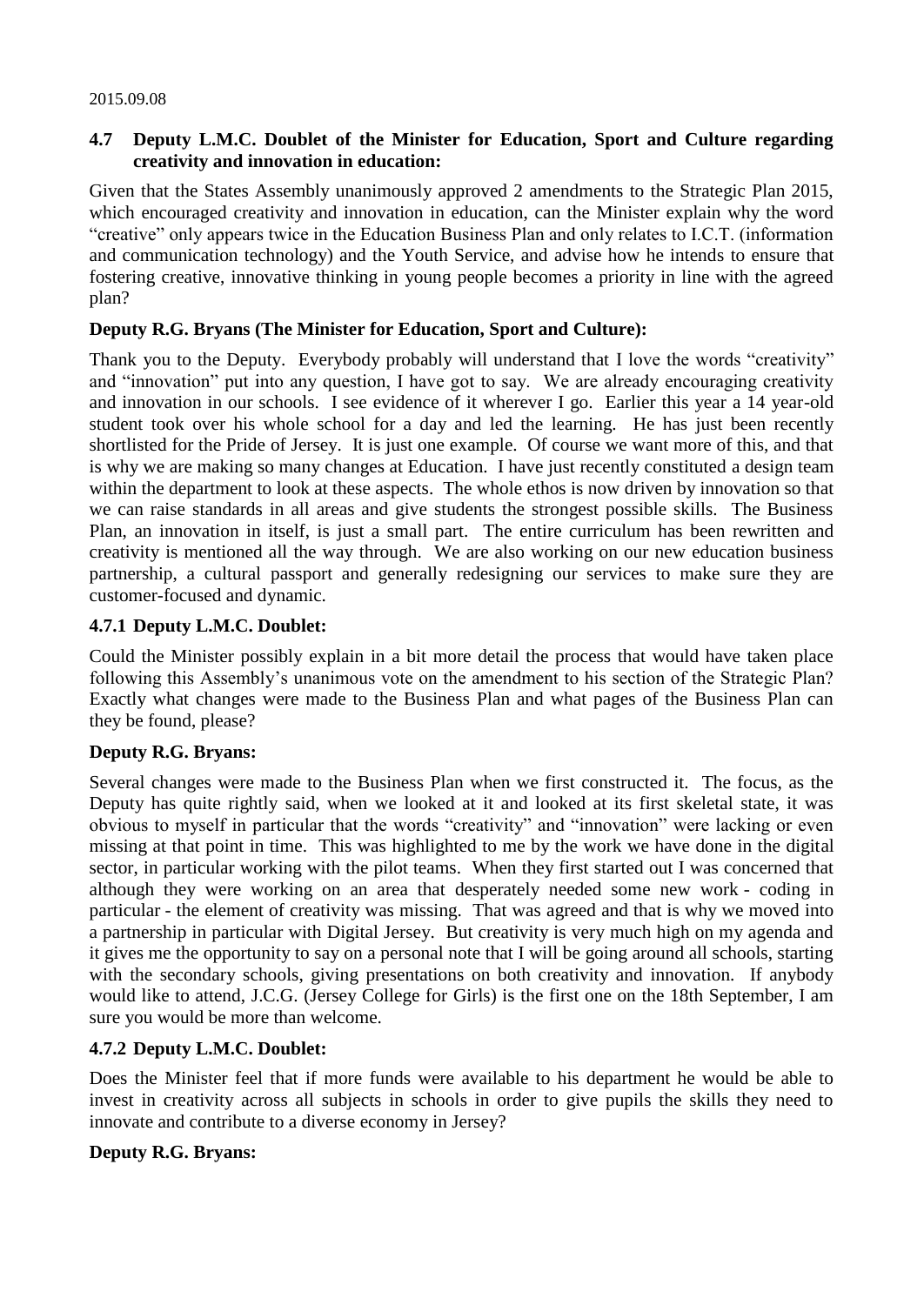#### 2015.09.08

# **4.7 Deputy L.M.C. Doublet of the Minister for Education, Sport and Culture regarding creativity and innovation in education:**

Given that the States Assembly unanimously approved 2 amendments to the Strategic Plan 2015, which encouraged creativity and innovation in education, can the Minister explain why the word "creative" only appears twice in the Education Business Plan and only relates to I.C.T. (information and communication technology) and the Youth Service, and advise how he intends to ensure that fostering creative, innovative thinking in young people becomes a priority in line with the agreed plan?

## **Deputy R.G. Bryans (The Minister for Education, Sport and Culture):**

Thank you to the Deputy. Everybody probably will understand that I love the words "creativity" and "innovation" put into any question, I have got to say. We are already encouraging creativity and innovation in our schools. I see evidence of it wherever I go. Earlier this year a 14 year-old student took over his whole school for a day and led the learning. He has just been recently shortlisted for the Pride of Jersey. It is just one example. Of course we want more of this, and that is why we are making so many changes at Education. I have just recently constituted a design team within the department to look at these aspects. The whole ethos is now driven by innovation so that we can raise standards in all areas and give students the strongest possible skills. The Business Plan, an innovation in itself, is just a small part. The entire curriculum has been rewritten and creativity is mentioned all the way through. We are also working on our new education business partnership, a cultural passport and generally redesigning our services to make sure they are customer-focused and dynamic.

## **4.7.1 Deputy L.M.C. Doublet:**

Could the Minister possibly explain in a bit more detail the process that would have taken place following this Assembly's unanimous vote on the amendment to his section of the Strategic Plan? Exactly what changes were made to the Business Plan and what pages of the Business Plan can they be found, please?

# **Deputy R.G. Bryans:**

Several changes were made to the Business Plan when we first constructed it. The focus, as the Deputy has quite rightly said, when we looked at it and looked at its first skeletal state, it was obvious to myself in particular that the words "creativity" and "innovation" were lacking or even missing at that point in time. This was highlighted to me by the work we have done in the digital sector, in particular working with the pilot teams. When they first started out I was concerned that although they were working on an area that desperately needed some new work - coding in particular - the element of creativity was missing. That was agreed and that is why we moved into a partnership in particular with Digital Jersey. But creativity is very much high on my agenda and it gives me the opportunity to say on a personal note that I will be going around all schools, starting with the secondary schools, giving presentations on both creativity and innovation. If anybody would like to attend, J.C.G. (Jersey College for Girls) is the first one on the 18th September, I am sure you would be more than welcome.

### **4.7.2 Deputy L.M.C. Doublet:**

Does the Minister feel that if more funds were available to his department he would be able to invest in creativity across all subjects in schools in order to give pupils the skills they need to innovate and contribute to a diverse economy in Jersey?

### **Deputy R.G. Bryans:**